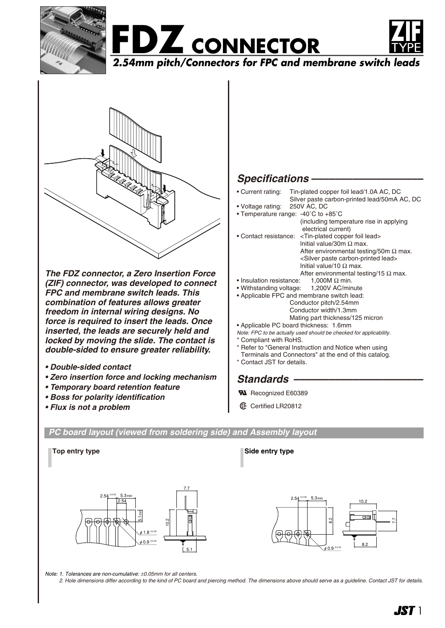





**2.54mm pitch/Connectors for FPC and membrane switch leads**



*The FDZ connector, a Zero Insertion Force (ZIF) connector, was developed to connect FPC and membrane switch leads. This combination of features allows greater freedom in internal wiring designs. No force is required to insert the leads. Once inserted, the leads are securely held and locked by moving the slide. The contact is double-sided to ensure greater reliability.*

- *Double-sided contact*
- *Zero insertion force and locking mechanism*
- *Temporary board retention feature*
- *Boss for polarity identification*
- *Flux is not a problem*

## *Specifications –––––––––––––––––––*

- Current rating: Tin-plated copper foil lead/1.0A AC, DC
- Silver paste carbon-printed lead/50mA AC, DC<br>250V AC, DC • Voltage rating: • Temperature range: -40˚C to +85˚C (including temperature rise in applying
- electrical current) • Contact resistance: <Tin-plated copper foil lead> lnitial value/30m Ω max. After environmental testing/50m  $\Omega$  max. <Silver paste carbon-printed lead> lnitial value/10 Ω max.
- After environmental testing/15  $\Omega$  max. • Insulation resistance: 1,000M  $\Omega$  min.
- Withstanding voltage: 1,200V AC/minute
- Applicable FPC and membrane switch lead: Conductor pitch/2.54mm
	- Conductor width/1.3mm
		- Mating part thickness/125 micron
- Applicable PC board thickness: 1.6mm
- *Note: FPC to be actually used should be checked for applicability.* Compliant with RoHS.
- 
- Refer to "General Instruction and Notice when using Terminals and Connectors" at the end of this catalog.
- \* Contact JST for details.

## *Standards ––––––––––––––––––––––*

- **W** Recognized E60389
- **1** Certified LR20812

*PC board layout (viewed from soldering side) and Assembly layout*



**Top entry type Side entry type** 



*Note: 1. Tolerances are non-cumulative:* ±*0.05mm for all centers.*

*2. Hole dimensions differ according to the kind of PC board and piercing method. The dimensions above should serve as a guideline. Contact JST for details.*